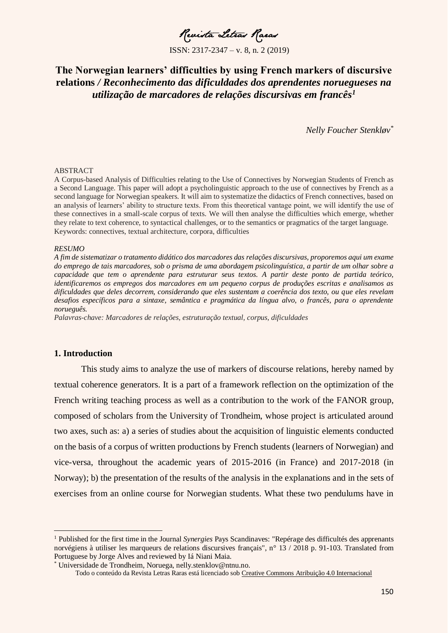Revista Letras Raras

# **The Norwegian learners' difficulties by using French markers of discursive relations** */ Reconhecimento das dificuldades dos aprendentes noruegueses na utilização de marcadores de relações discursivas em francês<sup>1</sup>*

*Nelly Foucher Stenkløv\**

#### ABSTRACT

A Corpus-based Analysis of Difficulties relating to the Use of Connectives by Norwegian Students of French as a Second Language. This paper will adopt a psycholinguistic approach to the use of connectives by French as a second language for Norwegian speakers. It will aim to systematize the didactics of French connectives, based on an analysis of learners' ability to structure texts. From this theoretical vantage point, we will identify the use of these connectives in a small-scale corpus of texts. We will then analyse the difficulties which emerge, whether they relate to text coherence, to syntactical challenges, or to the semantics or pragmatics of the target language. Keywords: connectives, textual architecture, corpora, difficulties

#### *RESUMO*

*A fim de sistematizar o tratamento didático dos marcadores das relações discursivas, proporemos aqui um exame do emprego de tais marcadores, sob o prisma de uma abordagem psicolinguística, a partir de um olhar sobre a capacidade que tem o aprendente para estruturar seus textos. A partir deste ponto de partida teórico, identificaremos os empregos dos marcadores em um pequeno corpus de produções escritas e analisamos as dificuldades que deles decorrem, considerando que eles sustentam a coerência dos texto, ou que eles revelam desafios específicos para a sintaxe, semântica e pragmática da língua alvo, o francês, para o aprendente norueguês.*

*Palavras-chave: Marcadores de relações, estruturação textual, corpus, dificuldades*

## **1. Introduction**

 $\overline{a}$ 

This study aims to analyze the use of markers of discourse relations, hereby named by textual coherence generators. It is a part of a framework reflection on the optimization of the French writing teaching process as well as a contribution to the work of the FANOR group, composed of scholars from the University of Trondheim, whose project is articulated around two axes, such as: a) a series of studies about the acquisition of linguistic elements conducted on the basis of a corpus of written productions by French students (learners of Norwegian) and vice-versa, throughout the academic years of 2015-2016 (in France) and 2017-2018 (in Norway); b) the presentation of the results of the analysis in the explanations and in the sets of exercises from an online course for Norwegian students. What these two pendulums have in

<sup>1</sup> Published for the first time in the Journal *Synergies* Pays Scandinaves: "Repérage des difficultés des apprenants norvégiens à utiliser les marqueurs de relations discursives français", n° 13 / 2018 p. 91-103. Translated from Portuguese by Jorge Alves and reviewed by Iá Niani Maia.

Universidade de Trondheim, Noruega, nelly.stenklov@ntnu.no.

Todo o conteúdo da Revista Letras Raras está licenciado sob [Creative Commons Atribuição 4.0 Internacional](http://creativecommons.org/licenses/by/4.0/)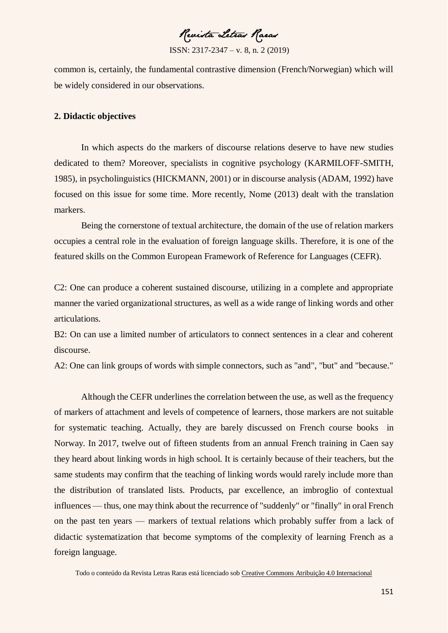Revista Letras Raras

ISSN: 2317-2347 – v. 8, n. 2 (2019)

common is, certainly, the fundamental contrastive dimension (French/Norwegian) which will be widely considered in our observations.

# **2. Didactic objectives**

In which aspects do the markers of discourse relations deserve to have new studies dedicated to them? Moreover, specialists in cognitive psychology (KARMILOFF-SMITH, 1985), in psycholinguistics (HICKMANN, 2001) or in discourse analysis (ADAM, 1992) have focused on this issue for some time. More recently, Nome (2013) dealt with the translation markers.

Being the cornerstone of textual architecture, the domain of the use of relation markers occupies a central role in the evaluation of foreign language skills. Therefore, it is one of the featured skills on the Common European Framework of Reference for Languages (CEFR).

C2: One can produce a coherent sustained discourse, utilizing in a complete and appropriate manner the varied organizational structures, as well as a wide range of linking words and other articulations.

B2: On can use a limited number of articulators to connect sentences in a clear and coherent discourse.

A2: One can link groups of words with simple connectors, such as "and", "but" and "because."

Although the CEFR underlines the correlation between the use, as well as the frequency of markers of attachment and levels of competence of learners, those markers are not suitable for systematic teaching. Actually, they are barely discussed on French course books in Norway. In 2017, twelve out of fifteen students from an annual French training in Caen say they heard about linking words in high school. It is certainly because of their teachers, but the same students may confirm that the teaching of linking words would rarely include more than the distribution of translated lists. Products, par excellence, an imbroglio of contextual influences — thus, one may think about the recurrence of "suddenly" or "finally" in oral French on the past ten years — markers of textual relations which probably suffer from a lack of didactic systematization that become symptoms of the complexity of learning French as a foreign language.

Todo o conteúdo da Revista Letras Raras está licenciado sob [Creative Commons Atribuição 4.0 Internacional](http://creativecommons.org/licenses/by/4.0/)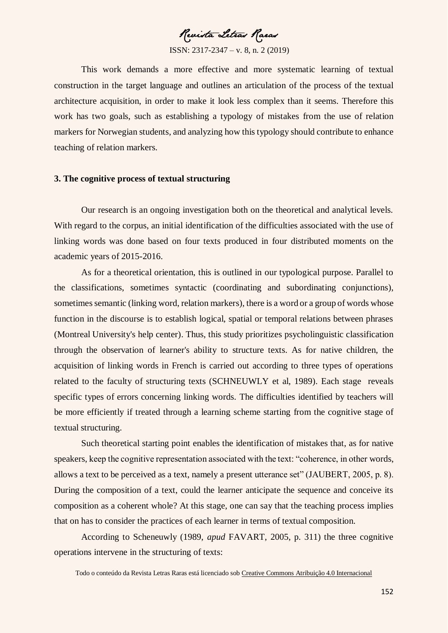Revista Letras Raras

This work demands a more effective and more systematic learning of textual construction in the target language and outlines an articulation of the process of the textual architecture acquisition, in order to make it look less complex than it seems. Therefore this work has two goals, such as establishing a typology of mistakes from the use of relation markers for Norwegian students, and analyzing how this typology should contribute to enhance teaching of relation markers.

### **3. The cognitive process of textual structuring**

Our research is an ongoing investigation both on the theoretical and analytical levels. With regard to the corpus, an initial identification of the difficulties associated with the use of linking words was done based on four texts produced in four distributed moments on the academic years of 2015-2016.

As for a theoretical orientation, this is outlined in our typological purpose. Parallel to the classifications, sometimes syntactic (coordinating and subordinating conjunctions), sometimes semantic (linking word, relation markers), there is a word or a group of words whose function in the discourse is to establish logical, spatial or temporal relations between phrases (Montreal University's help center). Thus, this study prioritizes psycholinguistic classification through the observation of learner's ability to structure texts. As for native children, the acquisition of linking words in French is carried out according to three types of operations related to the faculty of structuring texts (SCHNEUWLY et al, 1989). Each stage reveals specific types of errors concerning linking words. The difficulties identified by teachers will be more efficiently if treated through a learning scheme starting from the cognitive stage of textual structuring.

Such theoretical starting point enables the identification of mistakes that, as for native speakers, keep the cognitive representation associated with the text: "coherence, in other words, allows a text to be perceived as a text, namely a present utterance set" (JAUBERT, 2005, p. 8). During the composition of a text, could the learner anticipate the sequence and conceive its composition as a coherent whole? At this stage, one can say that the teaching process implies that on has to consider the practices of each learner in terms of textual composition.

According to Scheneuwly (1989, *apud* FAVART, 2005, p. 311) the three cognitive operations intervene in the structuring of texts:

Todo o conteúdo da Revista Letras Raras está licenciado sob [Creative Commons Atribuição 4.0 Internacional](http://creativecommons.org/licenses/by/4.0/)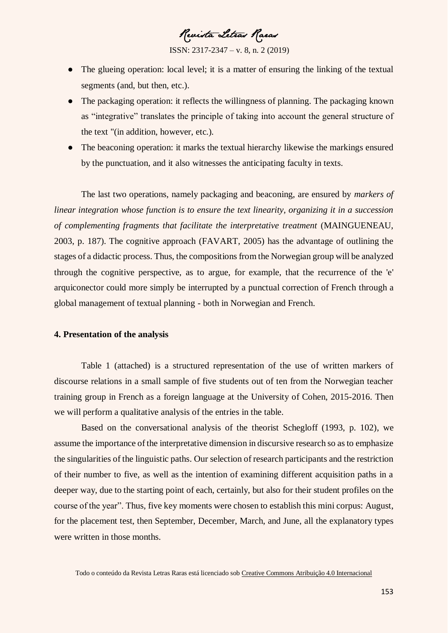Revista Letras Raras

ISSN: 2317-2347 – v. 8, n. 2 (2019)

- The glueing operation: local level; it is a matter of ensuring the linking of the textual segments (and, but then, etc.).
- The packaging operation: it reflects the willingness of planning. The packaging known as "integrative" translates the principle of taking into account the general structure of the text "(in addition, however, etc.).
- The beaconing operation: it marks the textual hierarchy likewise the markings ensured by the punctuation, and it also witnesses the anticipating faculty in texts.

The last two operations, namely packaging and beaconing, are ensured by *markers of linear integration whose function is to ensure the text linearity, organizing it in a succession of complementing fragments that facilitate the interpretative treatment* (MAINGUENEAU, 2003, p. 187). The cognitive approach (FAVART, 2005) has the advantage of outlining the stages of a didactic process. Thus, the compositions from the Norwegian group will be analyzed through the cognitive perspective, as to argue, for example, that the recurrence of the 'e' arquiconector could more simply be interrupted by a punctual correction of French through a global management of textual planning - both in Norwegian and French.

# **4. Presentation of the analysis**

Table 1 (attached) is a structured representation of the use of written markers of discourse relations in a small sample of five students out of ten from the Norwegian teacher training group in French as a foreign language at the University of Cohen, 2015-2016. Then we will perform a qualitative analysis of the entries in the table.

Based on the conversational analysis of the theorist Schegloff (1993, p. 102), we assume the importance of the interpretative dimension in discursive research so as to emphasize the singularities of the linguistic paths. Our selection of research participants and the restriction of their number to five, as well as the intention of examining different acquisition paths in a deeper way, due to the starting point of each, certainly, but also for their student profiles on the course of the year". Thus, five key moments were chosen to establish this mini corpus: August, for the placement test, then September, December, March, and June, all the explanatory types were written in those months.

Todo o conteúdo da Revista Letras Raras está licenciado sob [Creative Commons Atribuição 4.0 Internacional](http://creativecommons.org/licenses/by/4.0/)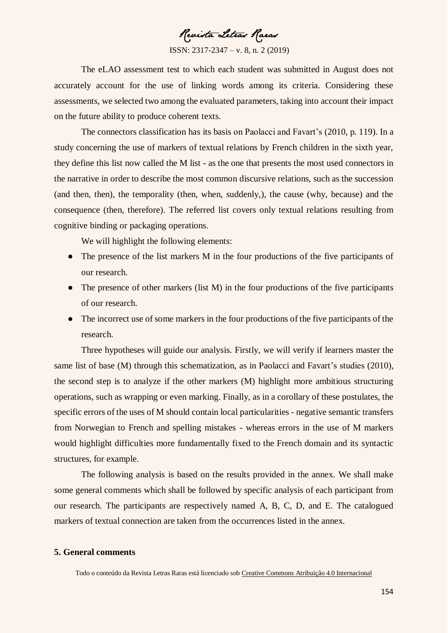Revista Letras Raras

ISSN: 2317-2347 – v. 8, n. 2 (2019)

The eLAO assessment test to which each student was submitted in August does not accurately account for the use of linking words among its criteria. Considering these assessments, we selected two among the evaluated parameters, taking into account their impact on the future ability to produce coherent texts.

The connectors classification has its basis on Paolacci and Favart's (2010, p. 119). In a study concerning the use of markers of textual relations by French children in the sixth year, they define this list now called the M list - as the one that presents the most used connectors in the narrative in order to describe the most common discursive relations, such as the succession (and then, then), the temporality (then, when, suddenly,), the cause (why, because) and the consequence (then, therefore). The referred list covers only textual relations resulting from cognitive binding or packaging operations.

We will highlight the following elements:

- The presence of the list markers M in the four productions of the five participants of our research.
- The presence of other markers (list M) in the four productions of the five participants of our research.
- The incorrect use of some markers in the four productions of the five participants of the research.

Three hypotheses will guide our analysis. Firstly, we will verify if learners master the same list of base (M) through this schematization, as in Paolacci and Favart's studies (2010), the second step is to analyze if the other markers (M) highlight more ambitious structuring operations, such as wrapping or even marking. Finally, as in a corollary of these postulates, the specific errors of the uses of M should contain local particularities - negative semantic transfers from Norwegian to French and spelling mistakes - whereas errors in the use of M markers would highlight difficulties more fundamentally fixed to the French domain and its syntactic structures, for example.

The following analysis is based on the results provided in the annex. We shall make some general comments which shall be followed by specific analysis of each participant from our research. The participants are respectively named A, B, C, D, and E. The catalogued markers of textual connection are taken from the occurrences listed in the annex.

# **5. General comments**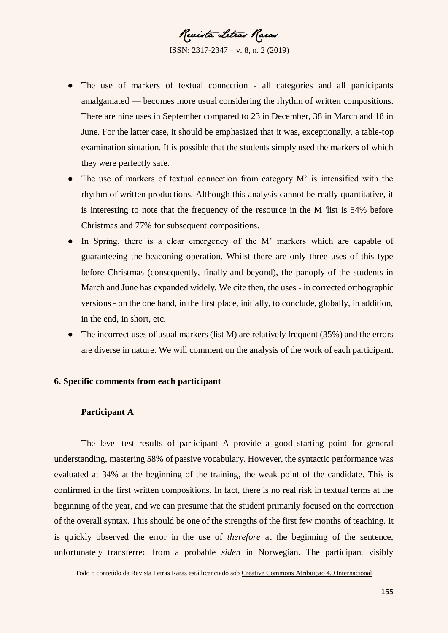Revista Letras Raras

ISSN: 2317-2347 – v. 8, n. 2 (2019)

- The use of markers of textual connection all categories and all participants amalgamated — becomes more usual considering the rhythm of written compositions. There are nine uses in September compared to 23 in December, 38 in March and 18 in June. For the latter case, it should be emphasized that it was, exceptionally, a table-top examination situation. It is possible that the students simply used the markers of which they were perfectly safe.
- The use of markers of textual connection from category M' is intensified with the rhythm of written productions. Although this analysis cannot be really quantitative, it is interesting to note that the frequency of the resource in the M 'list is 54% before Christmas and 77% for subsequent compositions.
- In Spring, there is a clear emergency of the M' markers which are capable of guaranteeing the beaconing operation. Whilst there are only three uses of this type before Christmas (consequently, finally and beyond), the panoply of the students in March and June has expanded widely. We cite then, the uses - in corrected orthographic versions - on the one hand, in the first place, initially, to conclude, globally, in addition, in the end, in short, etc.
- The incorrect uses of usual markers (list M) are relatively frequent  $(35%)$  and the errors are diverse in nature. We will comment on the analysis of the work of each participant.

# **6. Specific comments from each participant**

# **Participant A**

The level test results of participant A provide a good starting point for general understanding, mastering 58% of passive vocabulary. However, the syntactic performance was evaluated at 34% at the beginning of the training, the weak point of the candidate. This is confirmed in the first written compositions. In fact, there is no real risk in textual terms at the beginning of the year, and we can presume that the student primarily focused on the correction of the overall syntax. This should be one of the strengths of the first few months of teaching. It is quickly observed the error in the use of *therefore* at the beginning of the sentence, unfortunately transferred from a probable *siden* in Norwegian. The participant visibly

Todo o conteúdo da Revista Letras Raras está licenciado sob [Creative Commons Atribuição 4.0 Internacional](http://creativecommons.org/licenses/by/4.0/)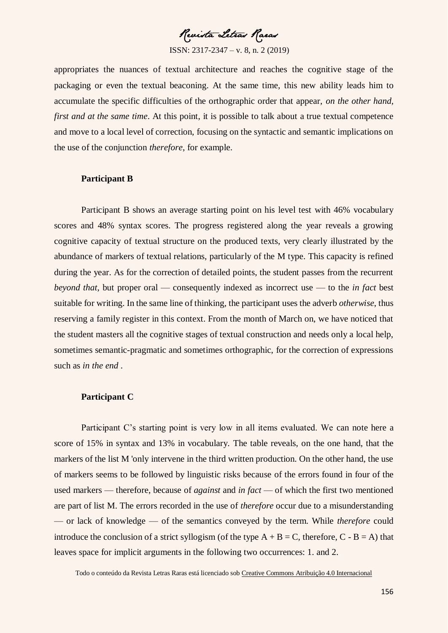Revista Letras Raras

appropriates the nuances of textual architecture and reaches the cognitive stage of the packaging or even the textual beaconing. At the same time, this new ability leads him to accumulate the specific difficulties of the orthographic order that appear, *on the other hand, first and at the same time.* At this point, it is possible to talk about a true textual competence and move to a local level of correction, focusing on the syntactic and semantic implications on the use of the conjunction *therefore*, for example.

# **Participant B**

Participant B shows an average starting point on his level test with 46% vocabulary scores and 48% syntax scores. The progress registered along the year reveals a growing cognitive capacity of textual structure on the produced texts, very clearly illustrated by the abundance of markers of textual relations, particularly of the M type. This capacity is refined during the year. As for the correction of detailed points, the student passes from the recurrent *beyond that*, but proper oral — consequently indexed as incorrect use — to the *in fact* best suitable for writing. In the same line of thinking, the participant uses the adverb *otherwise*, thus reserving a family register in this context. From the month of March on, we have noticed that the student masters all the cognitive stages of textual construction and needs only a local help, sometimes semantic-pragmatic and sometimes orthographic, for the correction of expressions such as *in the end* .

# **Participant C**

Participant C's starting point is very low in all items evaluated. We can note here a score of 15% in syntax and 13% in vocabulary. The table reveals, on the one hand, that the markers of the list M 'only intervene in the third written production. On the other hand, the use of markers seems to be followed by linguistic risks because of the errors found in four of the used markers — therefore, because of *against* and *in fact* — of which the first two mentioned are part of list M. The errors recorded in the use of *therefore* occur due to a misunderstanding — or lack of knowledge — of the semantics conveyed by the term. While *therefore* could introduce the conclusion of a strict syllogism (of the type  $A + B = C$ , therefore,  $C - B = A$ ) that leaves space for implicit arguments in the following two occurrences: 1. and 2.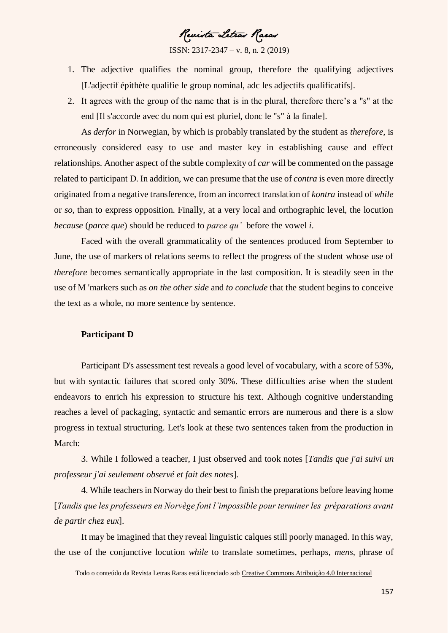Revista Letras Raras

- 1. The adjective qualifies the nominal group, therefore the qualifying adjectives [L'adjectif épithète qualifie le group nominal, adc les adjectifs qualificatifs].
- 2. It agrees with the group of the name that is in the plural, therefore there's a "s" at the end [Il s'accorde avec du nom qui est pluriel, donc le "s" à la finale].

As *derfor* in Norwegian, by which is probably translated by the student as *therefore*, is erroneously considered easy to use and master key in establishing cause and effect relationships. Another aspect of the subtle complexity of *car* will be commented on the passage related to participant D. In addition, we can presume that the use of *contra* is even more directly originated from a negative transference, from an incorrect translation of *kontra* instead of *while* or *so*, than to express opposition. Finally, at a very local and orthographic level, the locution *because* (*parce que*) should be reduced to *parce qu'* before the vowel *i*.

Faced with the overall grammaticality of the sentences produced from September to June, the use of markers of relations seems to reflect the progress of the student whose use of *therefore* becomes semantically appropriate in the last composition. It is steadily seen in the use of M 'markers such as *on the other side* and *to conclude* that the student begins to conceive the text as a whole, no more sentence by sentence.

# **Participant D**

Participant D's assessment test reveals a good level of vocabulary, with a score of 53%, but with syntactic failures that scored only 30%. These difficulties arise when the student endeavors to enrich his expression to structure his text. Although cognitive understanding reaches a level of packaging, syntactic and semantic errors are numerous and there is a slow progress in textual structuring. Let's look at these two sentences taken from the production in March:

3. While I followed a teacher, I just observed and took notes [*Tandis que j'ai suivi un professeur j'ai seulement observé et fait des notes*].

4. While teachers in Norway do their best to finish the preparations before leaving home [*Tandis que les professeurs en Norvège font l'impossible pour terminer les préparations avant de partir chez eux*].

It may be imagined that they reveal linguistic calques still poorly managed. In this way, the use of the conjunctive locution *while* to translate sometimes, perhaps, *mens*, phrase of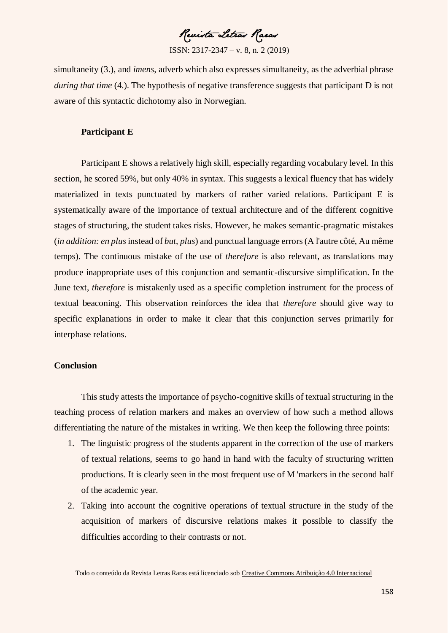Revista Letras Raras

simultaneity (3.), and *imens*, adverb which also expresses simultaneity, as the adverbial phrase *during that time* (4.). The hypothesis of negative transference suggests that participant D is not aware of this syntactic dichotomy also in Norwegian.

# **Participant E**

Participant E shows a relatively high skill, especially regarding vocabulary level. In this section, he scored 59%, but only 40% in syntax. This suggests a lexical fluency that has widely materialized in texts punctuated by markers of rather varied relations. Participant E is systematically aware of the importance of textual architecture and of the different cognitive stages of structuring, the student takes risks. However, he makes semantic-pragmatic mistakes (*in addition: en plus* instead of *but*, *plus*) and punctual language errors (A l'autre côté, Au même temps). The continuous mistake of the use of *therefore* is also relevant, as translations may produce inappropriate uses of this conjunction and semantic-discursive simplification. In the June text, *therefore* is mistakenly used as a specific completion instrument for the process of textual beaconing. This observation reinforces the idea that *therefore* should give way to specific explanations in order to make it clear that this conjunction serves primarily for interphase relations.

# **Conclusion**

This study attests the importance of psycho-cognitive skills of textual structuring in the teaching process of relation markers and makes an overview of how such a method allows differentiating the nature of the mistakes in writing. We then keep the following three points:

- 1. The linguistic progress of the students apparent in the correction of the use of markers of textual relations, seems to go hand in hand with the faculty of structuring written productions. It is clearly seen in the most frequent use of M 'markers in the second half of the academic year.
- 2. Taking into account the cognitive operations of textual structure in the study of the acquisition of markers of discursive relations makes it possible to classify the difficulties according to their contrasts or not.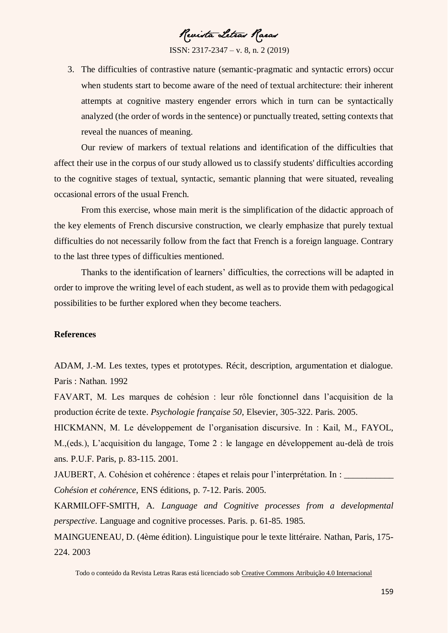Revista Letras Raras

3. The difficulties of contrastive nature (semantic-pragmatic and syntactic errors) occur when students start to become aware of the need of textual architecture: their inherent attempts at cognitive mastery engender errors which in turn can be syntactically analyzed (the order of words in the sentence) or punctually treated, setting contexts that reveal the nuances of meaning.

Our review of markers of textual relations and identification of the difficulties that affect their use in the corpus of our study allowed us to classify students' difficulties according to the cognitive stages of textual, syntactic, semantic planning that were situated, revealing occasional errors of the usual French.

From this exercise, whose main merit is the simplification of the didactic approach of the key elements of French discursive construction, we clearly emphasize that purely textual difficulties do not necessarily follow from the fact that French is a foreign language. Contrary to the last three types of difficulties mentioned.

Thanks to the identification of learners' difficulties, the corrections will be adapted in order to improve the writing level of each student, as well as to provide them with pedagogical possibilities to be further explored when they become teachers.

# **References**

ADAM, J.-M. Les textes, types et prototypes. Récit, description, argumentation et dialogue. Paris : Nathan. 1992

FAVART, M. Les marques de cohésion : leur rôle fonctionnel dans l'acquisition de la production écrite de texte. *Psychologie française 50*, Elsevier, 305-322. Paris. 2005.

HICKMANN, M. Le développement de l'organisation discursive. In : Kail, M., FAYOL, M.,(eds.), L'acquisition du langage, Tome 2 : le langage en développement au-delà de trois ans. P.U.F. Paris, p. 83-115. 2001.

JAUBERT, A. Cohésion et cohérence : étapes et relais pour l'interprétation. In : *Cohésion et cohérence*, ENS éditions, p. 7-12. Paris. 2005.

KARMILOFF-SMITH, A. *Language and Cognitive processes from a developmental perspective*. Language and cognitive processes. Paris. p. 61-85. 1985.

MAINGUENEAU, D. (4ème édition). Linguistique pour le texte littéraire. Nathan, Paris, 175- 224. 2003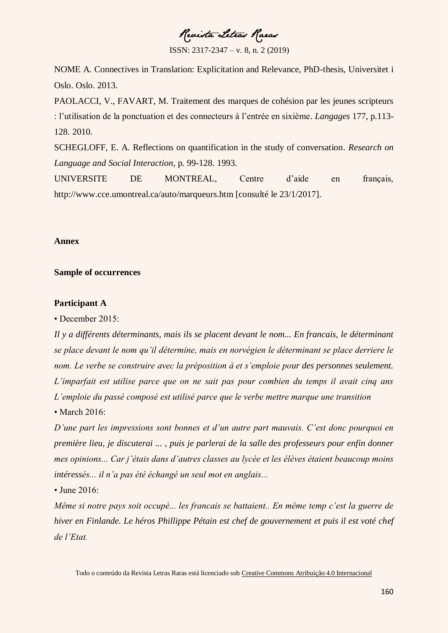Revista Letras Raras

ISSN: 2317-2347 – v. 8, n. 2 (2019)

NOME A. Connectives in Translation: Explicitation and Relevance, PhD-thesis, Universitet i Oslo. Oslo. 2013.

PAOLACCI, V., FAVART, M. Traitement des marques de cohésion par les jeunes scripteurs : l'utilisation de la ponctuation et des connecteurs à l'entrée en sixième. *Langages* 177, p.113- 128. 2010.

SCHEGLOFF, E. A. Reflections on quantification in the study of conversation. *Research on Language and Social Interaction*, p. 99-128. 1993.

UNIVERSITE DE MONTREAL, Centre d'aide en français, http://www.cce.umontreal.ca/auto/marqueurs.htm [consulté le 23/1/2017].

### **Annex**

### **Sample of occurrences**

# **Participant A**

• December 2015:

*Il y a différents déterminants, mais ils se placent devant le nom... En francais, le déterminant se place devant le nom qu'il détermine, mais en norvégien le déterminant se place derriere le nom. Le verbe se construire avec la préposition à et s'emploie pour des personnes seulement. L'imparfait est utilise parce que on ne sait pas pour combien du temps il avait cinq ans L'emploie du passé composé est utilisé parce que le verbe mettre marque une transition*  • March 2016:

*D'une part les impressions sont bonnes et d'un autre part mauvais. C'est donc pourquoi en première lieu, je discuterai ... , puis je parlerai de la salle des professeurs pour enfin donner mes opinions... Car j'étais dans d'autres classes au lycée et les élèves étaient beaucoup moins intéressés... il n'a pas été échangé un seul mot en anglais...* 

• June 2016:

*Même si notre pays soit occupé... les francais se battaient.. En même temp c'est la guerre de hiver en Finlande. Le héros Phillippe Pétain est chef de gouvernement et puis il est voté chef de l'Etat.*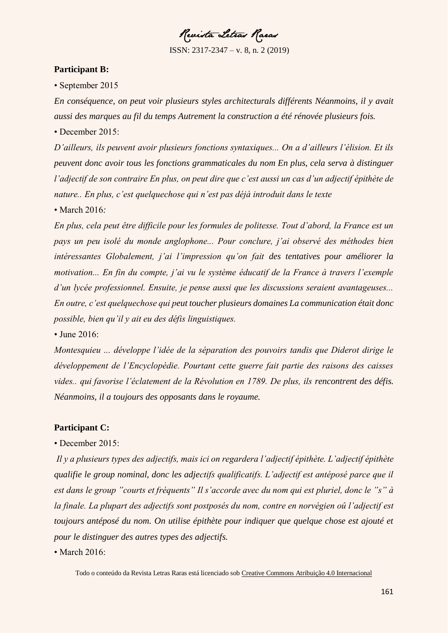Revista Letras Raras

## **Participant B:**

• September 2015

*En conséquence, on peut voir plusieurs styles architecturals différents Néanmoins, il y avait aussi des marques au fil du temps Autrement la construction a été rénovée plusieurs fois.*  • December 2015:

*D'ailleurs, ils peuvent avoir plusieurs fonctions syntaxiques... On a d'ailleurs l'élision. Et ils peuvent donc avoir tous les fonctions grammaticales du nom En plus, cela serva à distinguer l'adjectif de son contraire En plus, on peut dire que c'est aussi un cas d'un adjectif épithète de nature.. En plus, c'est quelquechose qui n'est pas déjà introduit dans le texte*

• March 2016*:* 

*En plus, cela peut être difficile pour les formules de politesse. Tout d'abord, la France est un pays un peu isolé du monde anglophone... Pour conclure, j'ai observé des méthodes bien intéressantes Globalement, j'ai l'impression qu'on fait des tentatives pour améliorer la motivation... En fin du compte, j'ai vu le système éducatif de la France à travers l'exemple d'un lycée professionnel. Ensuite, je pense aussi que les discussions seraient avantageuses... En outre, c'est quelquechose qui peut toucher plusieurs domaines La communication était donc possible, bien qu'il y ait eu des défis linguistiques.* 

• June 2016:

*Montesquieu ... développe l'idée de la séparation des pouvoirs tandis que Diderot dirige le développement de l'Encyclopédie. Pourtant cette guerre fait partie des raisons des caisses vides.. qui favorise l'éclatement de la Révolution en 1789. De plus, ils rencontrent des défis. Néanmoins, il a toujours des opposants dans le royaume.*

# **Participant C:**

# • December 2015:

*Il y a plusieurs types des adjectifs, mais ici on regardera l'adjectif épithète. L'adjectif épithète qualifie le group nominal, donc les adjectifs qualificatifs. L'adjectif est antéposé parce que il est dans le group "courts et fréquents" Il s'accorde avec du nom qui est pluriel, donc le "s" à la finale. La plupart des adjectifs sont postposés du nom, contre en norvégien oû l'adjectif est toujours antéposé du nom. On utilise épithète pour indiquer que quelque chose est ajouté et pour le distinguer des autres types des adjectifs.* 

• March 2016: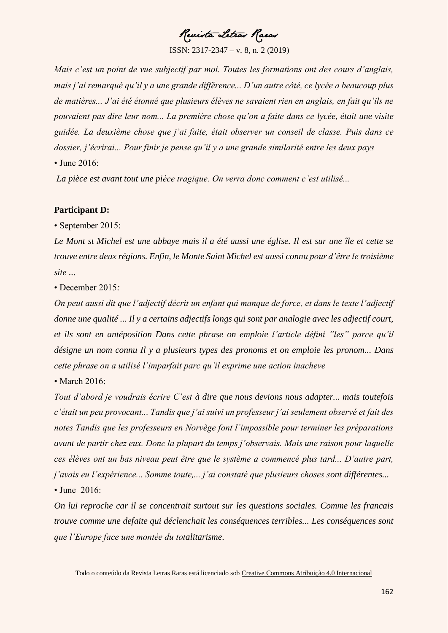Revista Letras Raeas

*Mais c'est un point de vue subjectif par moi. Toutes les formations ont des cours d'anglais, mais j'ai remarqué qu'il y a une grande différence... D'un autre côté, ce lycée a beaucoup plus de matières... J'ai été étonné que plusieurs élèves ne savaient rien en anglais, en fait qu'ils ne pouvaient pas dire leur nom... La première chose qu'on a faite dans ce lycée, était une visite guidée. La deuxième chose que j'ai faite, était observer un conseil de classe. Puis dans ce dossier, j'écrirai... Pour finir je pense qu'il y a une grande similarité entre les deux pays*  • June 2016:

*La pièce est avant tout une pièce tragique. On verra donc comment c'est utilisé...* 

# **Participant D:**

• September 2015:

*Le Mont st Michel est une abbaye mais il a été aussi une église. Il est sur une île et cette se trouve entre deux régions. Enfin, le Monte Saint Michel est aussi connu pour d'être le troisième site ...* 

• December 2015*:* 

*On peut aussi dit que l'adjectif décrit un enfant qui manque de force, et dans le texte l'adjectif donne une qualité ... Il y a certains adjectifs longs qui sont par analogie avec les adjectif court, et ils sont en antéposition Dans cette phrase on emploie l'article défini "les" parce qu'il désigne un nom connu Il y a plusieurs types des pronoms et on emploie les pronom... Dans cette phrase on a utilisé l'imparfait parc qu'il exprime une action inacheve* 

• March 2016:

*Tout d'abord je voudrais écrire C'est à dire que nous devions nous adapter... mais toutefois c'était un peu provocant... Tandis que j'ai suivi un professeur j'ai seulement observé et fait des notes Tandis que les professeurs en Norvège font l'impossible pour terminer les préparations avant de partir chez eux. Donc la plupart du temps j'observais. Mais une raison pour laquelle ces élèves ont un bas niveau peut être que le système a commencé plus tard... D'autre part, j'avais eu l'expérience... Somme toute,... j'ai constaté que plusieurs choses sont différentes...* 

• June 2016:

*On lui reproche car il se concentrait surtout sur les questions sociales. Comme les francais trouve comme une defaite qui déclenchait les conséquences terribles... Les conséquences sont que l'Europe face une montée du totalitarisme*.